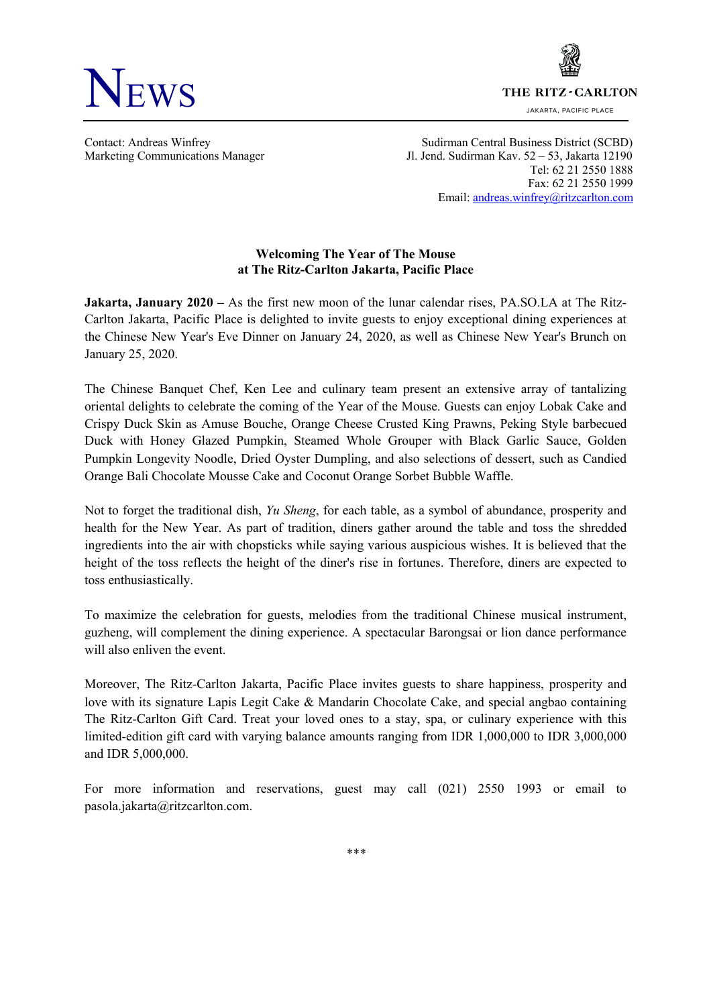

THE RITZ-CARLTON

JAKARTA, PACIFIC PLACE

Contact: Andreas Winfrey Sudirman Central Business District (SCBD) Marketing Communications Manager Jl. Jend. Sudirman Kav. 52 – 53, Jakarta 12190 Tel: 62 21 2550 1888 Fax: 62 21 2550 1999 Email: andreas.winfrey@ritzcarlton.com

## **Welcoming The Year of The Mouse at The Ritz-Carlton Jakarta, Pacific Place**

**Jakarta, January 2020 –** As the first new moon of the lunar calendar rises, PA.SO.LA at The Ritz-Carlton Jakarta, Pacific Place is delighted to invite guests to enjoy exceptional dining experiences at the Chinese New Year's Eve Dinner on January 24, 2020, as well as Chinese New Year's Brunch on January 25, 2020.

The Chinese Banquet Chef, Ken Lee and culinary team present an extensive array of tantalizing oriental delights to celebrate the coming of the Year of the Mouse. Guests can enjoy Lobak Cake and Crispy Duck Skin as Amuse Bouche, Orange Cheese Crusted King Prawns, Peking Style barbecued Duck with Honey Glazed Pumpkin, Steamed Whole Grouper with Black Garlic Sauce, Golden Pumpkin Longevity Noodle, Dried Oyster Dumpling, and also selections of dessert, such as Candied Orange Bali Chocolate Mousse Cake and Coconut Orange Sorbet Bubble Waffle.

Not to forget the traditional dish, *Yu Sheng*, for each table, as a symbol of abundance, prosperity and health for the New Year. As part of tradition, diners gather around the table and toss the shredded ingredients into the air with chopsticks while saying various auspicious wishes. It is believed that the height of the toss reflects the height of the diner's rise in fortunes. Therefore, diners are expected to toss enthusiastically.

To maximize the celebration for guests, melodies from the traditional Chinese musical instrument, guzheng, will complement the dining experience. A spectacular Barongsai or lion dance performance will also enliven the event.

Moreover, The Ritz-Carlton Jakarta, Pacific Place invites guests to share happiness, prosperity and love with its signature Lapis Legit Cake & Mandarin Chocolate Cake, and special angbao containing The Ritz-Carlton Gift Card. Treat your loved ones to a stay, spa, or culinary experience with this limited-edition gift card with varying balance amounts ranging from IDR 1,000,000 to IDR 3,000,000 and IDR 5,000,000.

For more information and reservations, guest may call (021) 2550 1993 or email to pasola.jakarta@ritzcarlton.com.

*\*\*\**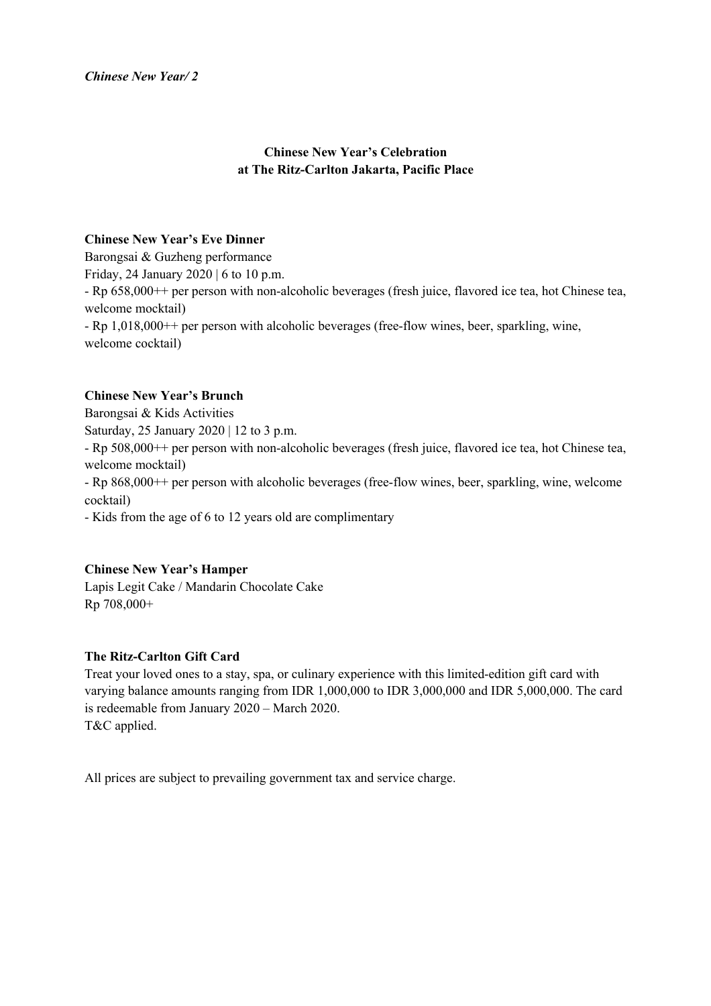# **Chinese New Year's Celebration at The Ritz-Carlton Jakarta, Pacific Place**

## **Chinese New Year's Eve Dinner**

Barongsai & Guzheng performance Friday, 24 January 2020 | 6 to 10 p.m. - Rp 658,000++ per person with non-alcoholic beverages (fresh juice, flavored ice tea, hot Chinese tea, welcome mocktail) - Rp 1,018,000++ per person with alcoholic beverages (free-flow wines, beer, sparkling, wine, welcome cocktail)

### **Chinese New Year's Brunch**

Barongsai & Kids Activities Saturday, 25 January 2020 | 12 to 3 p.m. - Rp 508,000++ per person with non-alcoholic beverages (fresh juice, flavored ice tea, hot Chinese tea, welcome mocktail) - Rp 868,000++ per person with alcoholic beverages (free-flow wines, beer, sparkling, wine, welcome

cocktail)

- Kids from the age of 6 to 12 years old are complimentary

### **Chinese New Year's Hamper**

Lapis Legit Cake / Mandarin Chocolate Cake Rp 708,000+

## **The Ritz-Carlton Gift Card**

Treat your loved ones to a stay, spa, or culinary experience with this limited-edition gift card with varying balance amounts ranging from IDR 1,000,000 to IDR 3,000,000 and IDR 5,000,000. The card is redeemable from January 2020 – March 2020. T&C applied.

All prices are subject to prevailing government tax and service charge.